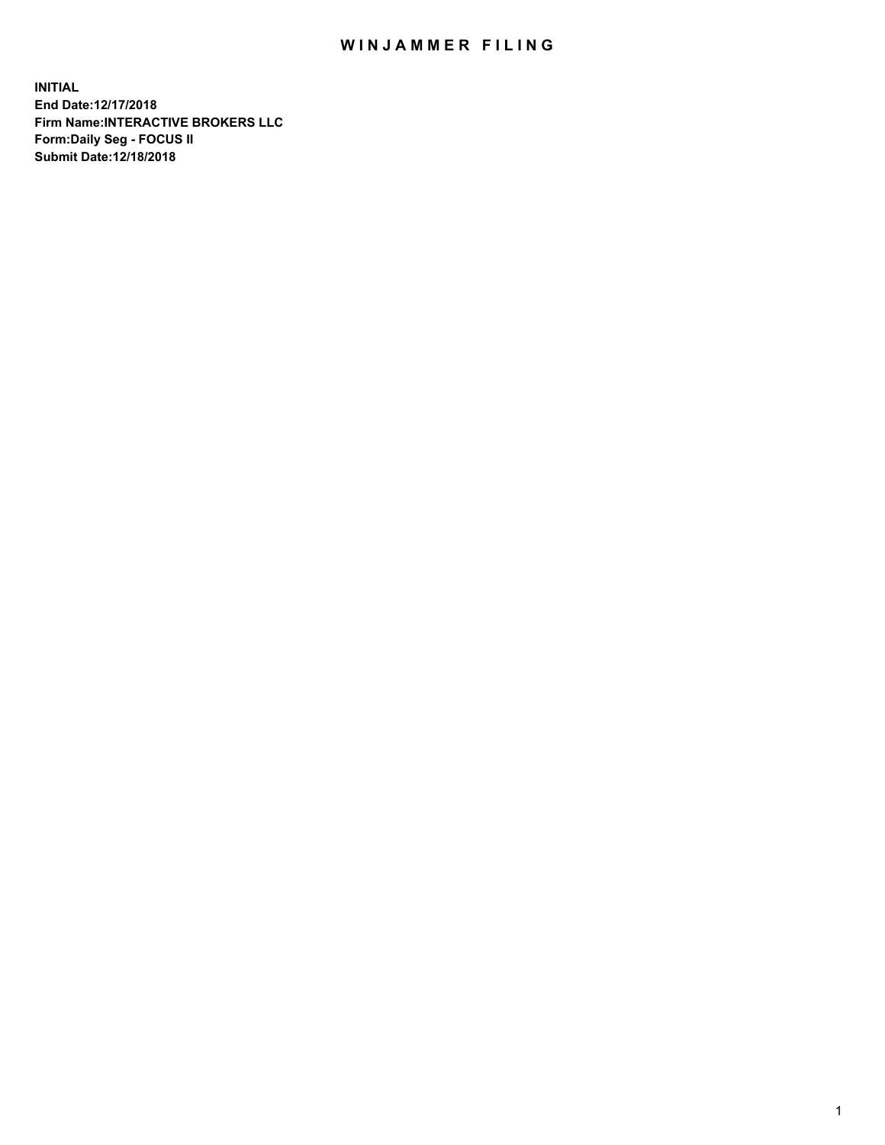## WIN JAMMER FILING

**INITIAL End Date:12/17/2018 Firm Name:INTERACTIVE BROKERS LLC Form:Daily Seg - FOCUS II Submit Date:12/18/2018**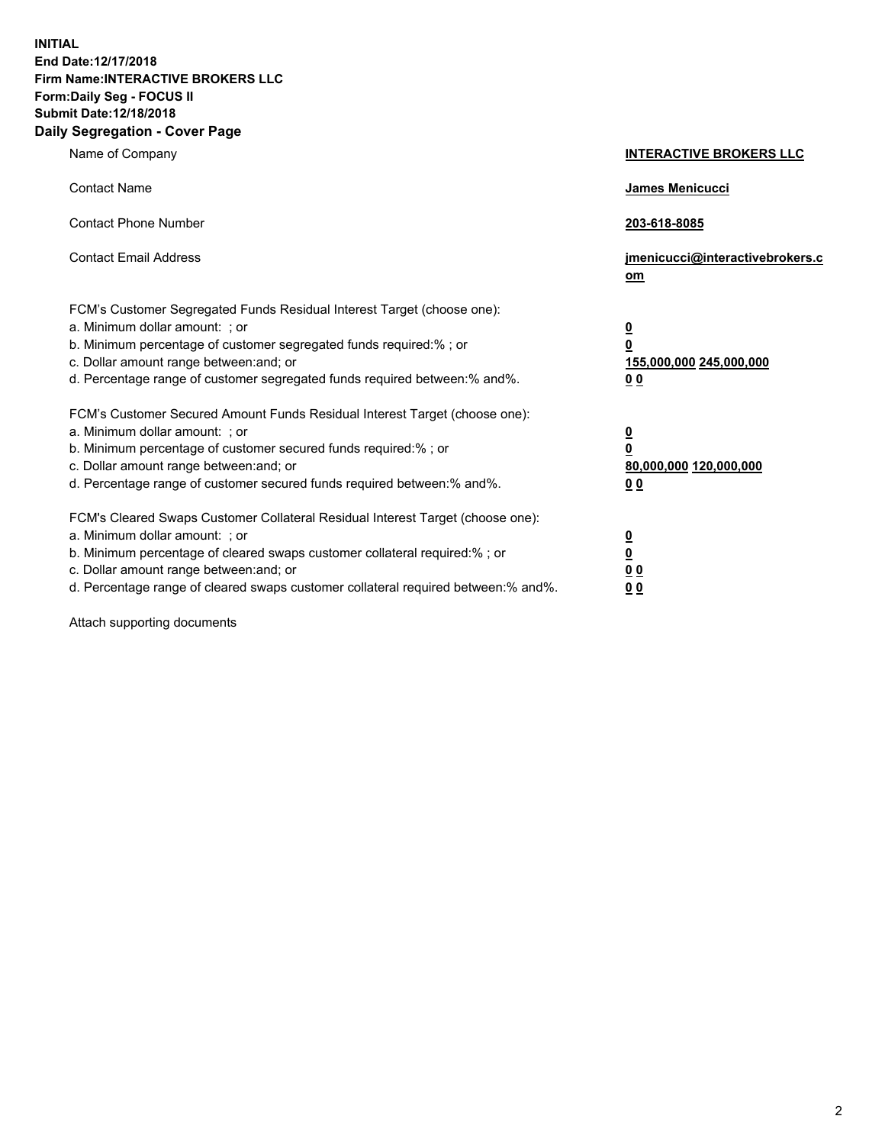**INITIAL End Date:12/17/2018 Firm Name:INTERACTIVE BROKERS LLC Form:Daily Seg - FOCUS II Submit Date:12/18/2018 Daily Segregation - Cover Page**

| Name of Company                                                                                                                                                                                                                                                                                                                | <b>INTERACTIVE BROKERS LLC</b>                                                                  |
|--------------------------------------------------------------------------------------------------------------------------------------------------------------------------------------------------------------------------------------------------------------------------------------------------------------------------------|-------------------------------------------------------------------------------------------------|
| <b>Contact Name</b>                                                                                                                                                                                                                                                                                                            | James Menicucci                                                                                 |
| <b>Contact Phone Number</b>                                                                                                                                                                                                                                                                                                    | 203-618-8085                                                                                    |
| <b>Contact Email Address</b>                                                                                                                                                                                                                                                                                                   | jmenicucci@interactivebrokers.c<br>om                                                           |
| FCM's Customer Segregated Funds Residual Interest Target (choose one):<br>a. Minimum dollar amount: ; or<br>b. Minimum percentage of customer segregated funds required:% ; or<br>c. Dollar amount range between: and; or<br>d. Percentage range of customer segregated funds required between:% and%.                         | $\overline{\mathbf{0}}$<br>$\overline{\mathbf{0}}$<br>155,000,000 245,000,000<br>0 <sub>0</sub> |
| FCM's Customer Secured Amount Funds Residual Interest Target (choose one):<br>a. Minimum dollar amount: ; or<br>b. Minimum percentage of customer secured funds required:%; or<br>c. Dollar amount range between: and; or<br>d. Percentage range of customer secured funds required between:% and%.                            | $\overline{\mathbf{0}}$<br>$\overline{\mathbf{0}}$<br>80,000,000 120,000,000<br>0 <sub>0</sub>  |
| FCM's Cleared Swaps Customer Collateral Residual Interest Target (choose one):<br>a. Minimum dollar amount: ; or<br>b. Minimum percentage of cleared swaps customer collateral required:% ; or<br>c. Dollar amount range between: and; or<br>d. Percentage range of cleared swaps customer collateral required between:% and%. | $\overline{\mathbf{0}}$<br>$\underline{\mathbf{0}}$<br>0 <sub>0</sub><br>0 <sub>0</sub>         |

Attach supporting documents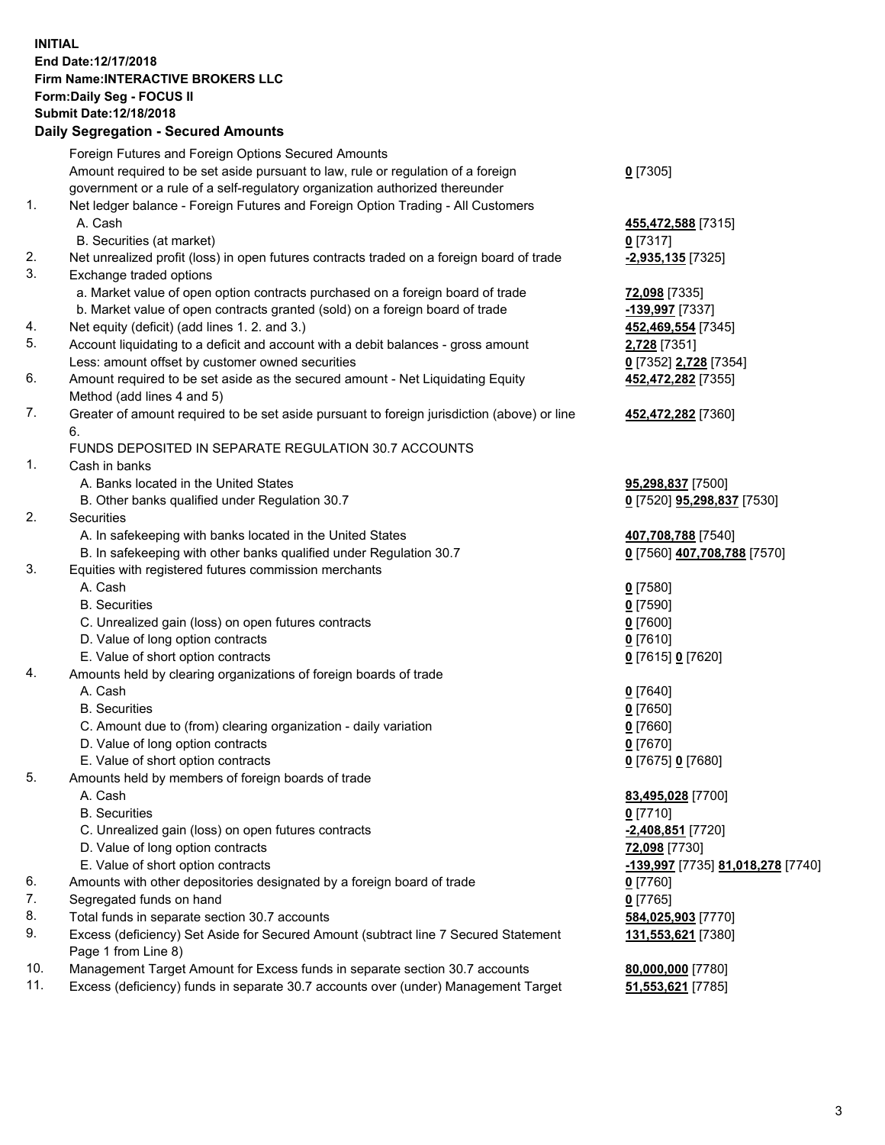## **INITIAL End Date:12/17/2018 Firm Name:INTERACTIVE BROKERS LLC Form:Daily Seg - FOCUS II Submit Date:12/18/2018 Daily Segregation - Secured Amounts**

|     | Daily Segregation - Secured Amounts                                                         |                                   |
|-----|---------------------------------------------------------------------------------------------|-----------------------------------|
|     | Foreign Futures and Foreign Options Secured Amounts                                         |                                   |
|     | Amount required to be set aside pursuant to law, rule or regulation of a foreign            | $0$ [7305]                        |
|     | government or a rule of a self-regulatory organization authorized thereunder                |                                   |
| 1.  | Net ledger balance - Foreign Futures and Foreign Option Trading - All Customers             |                                   |
|     | A. Cash                                                                                     | 455,472,588 [7315]                |
|     | B. Securities (at market)                                                                   | $0$ [7317]                        |
| 2.  | Net unrealized profit (loss) in open futures contracts traded on a foreign board of trade   | -2,935,135 [7325]                 |
| 3.  | Exchange traded options                                                                     |                                   |
|     | a. Market value of open option contracts purchased on a foreign board of trade              | 72,098 [7335]                     |
|     | b. Market value of open contracts granted (sold) on a foreign board of trade                | -139,997 [7337]                   |
| 4.  | Net equity (deficit) (add lines 1. 2. and 3.)                                               | 452,469,554 [7345]                |
| 5.  | Account liquidating to a deficit and account with a debit balances - gross amount           | 2,728 [7351]                      |
|     | Less: amount offset by customer owned securities                                            | 0 [7352] 2,728 [7354]             |
| 6.  | Amount required to be set aside as the secured amount - Net Liquidating Equity              | 452,472,282 [7355]                |
|     | Method (add lines 4 and 5)                                                                  |                                   |
| 7.  | Greater of amount required to be set aside pursuant to foreign jurisdiction (above) or line | 452,472,282 [7360]                |
|     | 6.                                                                                          |                                   |
|     | FUNDS DEPOSITED IN SEPARATE REGULATION 30.7 ACCOUNTS                                        |                                   |
| 1.  | Cash in banks                                                                               |                                   |
|     | A. Banks located in the United States                                                       | 95,298,837 [7500]                 |
|     | B. Other banks qualified under Regulation 30.7                                              | 0 [7520] 95,298,837 [7530]        |
| 2.  | <b>Securities</b>                                                                           |                                   |
|     | A. In safekeeping with banks located in the United States                                   | 407,708,788 [7540]                |
|     | B. In safekeeping with other banks qualified under Regulation 30.7                          | 0 [7560] 407,708,788 [7570]       |
| 3.  | Equities with registered futures commission merchants                                       |                                   |
|     | A. Cash                                                                                     | $0$ [7580]                        |
|     | <b>B.</b> Securities                                                                        | $0$ [7590]                        |
|     | C. Unrealized gain (loss) on open futures contracts                                         | $0$ [7600]                        |
|     | D. Value of long option contracts                                                           | $0$ [7610]                        |
|     | E. Value of short option contracts                                                          | 0 [7615] 0 [7620]                 |
| 4.  | Amounts held by clearing organizations of foreign boards of trade                           |                                   |
|     | A. Cash                                                                                     | $0$ [7640]                        |
|     | <b>B.</b> Securities                                                                        | $0$ [7650]                        |
|     | C. Amount due to (from) clearing organization - daily variation                             | $0$ [7660]                        |
|     | D. Value of long option contracts                                                           | $0$ [7670]                        |
|     | E. Value of short option contracts                                                          | 0 [7675] 0 [7680]                 |
| 5.  | Amounts held by members of foreign boards of trade                                          |                                   |
|     | A. Cash                                                                                     | 83,495,028 [7700]                 |
|     | <b>B.</b> Securities                                                                        | $0$ [7710]                        |
|     | C. Unrealized gain (loss) on open futures contracts                                         | -2,408,851 [7720]                 |
|     | D. Value of long option contracts                                                           | 72,098 [7730]                     |
|     | E. Value of short option contracts                                                          | -139,997 [7735] 81,018,278 [7740] |
| 6.  | Amounts with other depositories designated by a foreign board of trade                      | $0$ [7760]                        |
| 7.  | Segregated funds on hand                                                                    | $0$ [7765]                        |
| 8.  | Total funds in separate section 30.7 accounts                                               | 584,025,903 [7770]                |
| 9.  | Excess (deficiency) Set Aside for Secured Amount (subtract line 7 Secured Statement         | 131,553,621 [7380]                |
|     | Page 1 from Line 8)                                                                         |                                   |
| 10. | Management Target Amount for Excess funds in separate section 30.7 accounts                 | 80,000,000 [7780]                 |
| 11. | Excess (deficiency) funds in separate 30.7 accounts over (under) Management Target          | 51,553,621 [7785]                 |
|     |                                                                                             |                                   |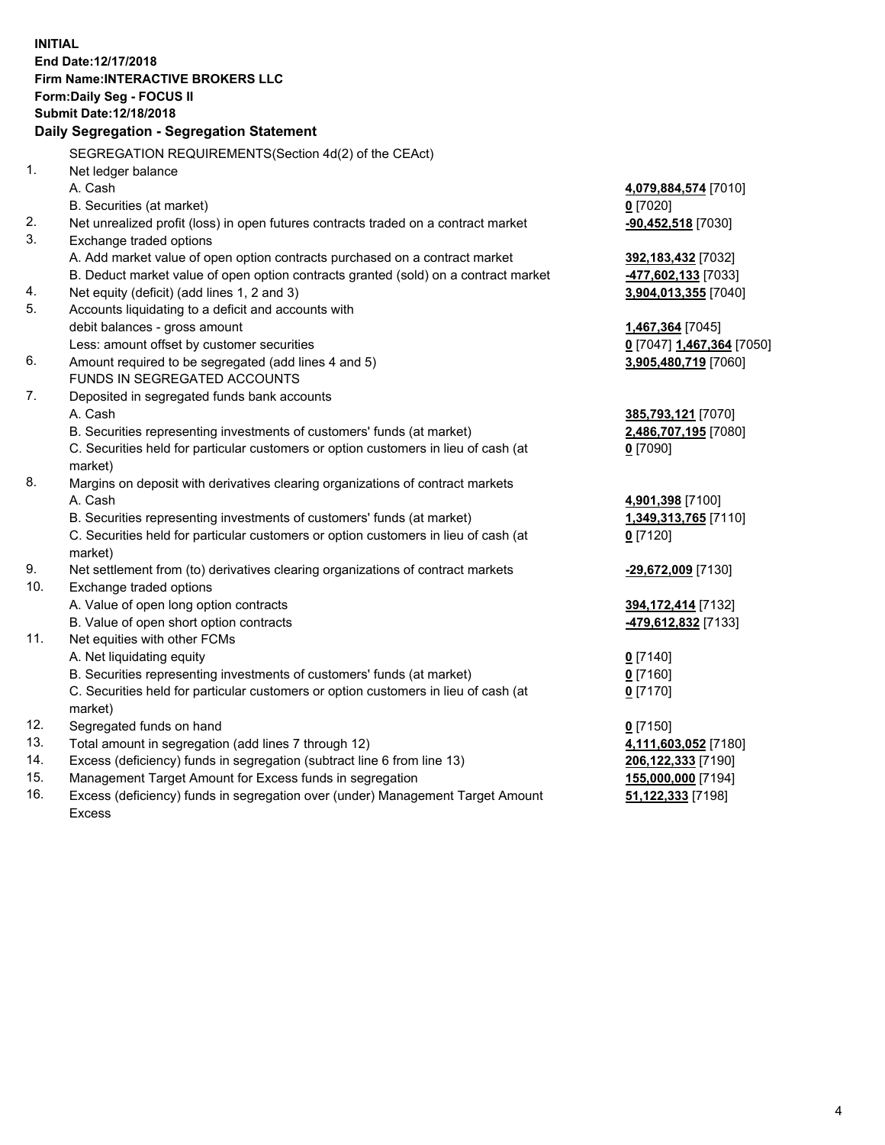**INITIAL End Date:12/17/2018 Firm Name:INTERACTIVE BROKERS LLC Form:Daily Seg - FOCUS II Submit Date:12/18/2018 Daily Segregation - Segregation Statement** SEGREGATION REQUIREMENTS(Section 4d(2) of the CEAct) 1. Net ledger balance A. Cash **4,079,884,574** [7010] B. Securities (at market) **0** [7020] 2. Net unrealized profit (loss) in open futures contracts traded on a contract market **-90,452,518** [7030] 3. Exchange traded options A. Add market value of open option contracts purchased on a contract market **392,183,432** [7032] B. Deduct market value of open option contracts granted (sold) on a contract market **-477,602,133** [7033] 4. Net equity (deficit) (add lines 1, 2 and 3) **3,904,013,355** [7040] 5. Accounts liquidating to a deficit and accounts with debit balances - gross amount **1,467,364** [7045] Less: amount offset by customer securities **0** [7047] **1,467,364** [7050] 6. Amount required to be segregated (add lines 4 and 5) **3,905,480,719** [7060] FUNDS IN SEGREGATED ACCOUNTS 7. Deposited in segregated funds bank accounts A. Cash **385,793,121** [7070] B. Securities representing investments of customers' funds (at market) **2,486,707,195** [7080] C. Securities held for particular customers or option customers in lieu of cash (at market) **0** [7090] 8. Margins on deposit with derivatives clearing organizations of contract markets A. Cash **4,901,398** [7100] B. Securities representing investments of customers' funds (at market) **1,349,313,765** [7110] C. Securities held for particular customers or option customers in lieu of cash (at market) **0** [7120] 9. Net settlement from (to) derivatives clearing organizations of contract markets **-29,672,009** [7130] 10. Exchange traded options A. Value of open long option contracts **394,172,414** [7132] B. Value of open short option contracts **-479,612,832** [7133] 11. Net equities with other FCMs A. Net liquidating equity **0** [7140] B. Securities representing investments of customers' funds (at market) **0** [7160] C. Securities held for particular customers or option customers in lieu of cash (at market) **0** [7170] 12. Segregated funds on hand **0** [7150] 13. Total amount in segregation (add lines 7 through 12) **4,111,603,052** [7180] 14. Excess (deficiency) funds in segregation (subtract line 6 from line 13) **206,122,333** [7190] 15. Management Target Amount for Excess funds in segregation **155,000,000** [7194] **51,122,333** [7198]

16. Excess (deficiency) funds in segregation over (under) Management Target Amount Excess